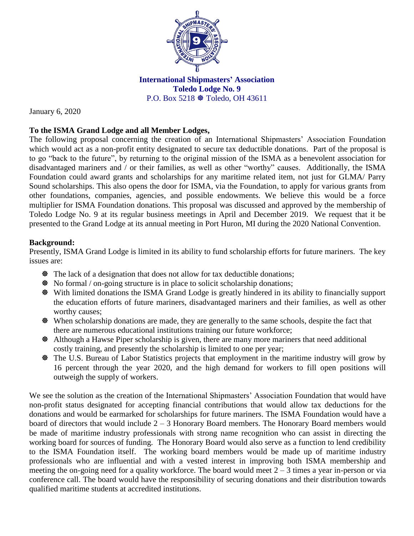

**International Shipmasters' Association Toledo Lodge No. 9** P.O. Box 5218  $\otimes$  Toledo, OH 43611

January 6, 2020

## **To the ISMA Grand Lodge and all Member Lodges,**

The following proposal concerning the creation of an International Shipmasters' Association Foundation which would act as a non-profit entity designated to secure tax deductible donations. Part of the proposal is to go "back to the future", by returning to the original mission of the ISMA as a benevolent association for disadvantaged mariners and / or their families, as well as other "worthy" causes. Additionally, the ISMA Foundation could award grants and scholarships for any maritime related item, not just for GLMA/ Parry Sound scholarships. This also opens the door for ISMA, via the Foundation, to apply for various grants from other foundations, companies, agencies, and possible endowments. We believe this would be a force multiplier for ISMA Foundation donations. This proposal was discussed and approved by the membership of Toledo Lodge No. 9 at its regular business meetings in April and December 2019. We request that it be presented to the Grand Lodge at its annual meeting in Port Huron, MI during the 2020 National Convention.

## **Background:**

Presently, ISMA Grand Lodge is limited in its ability to fund scholarship efforts for future mariners. The key issues are:

- The lack of a designation that does not allow for tax deductible donations;
- No formal / on-going structure is in place to solicit scholarship donations;
- With limited donations the ISMA Grand Lodge is greatly hindered in its ability to financially support the education efforts of future mariners, disadvantaged mariners and their families, as well as other worthy causes;
- When scholarship donations are made, they are generally to the same schools, despite the fact that there are numerous educational institutions training our future workforce;
- Although a Hawse Piper scholarship is given, there are many more mariners that need additional costly training, and presently the scholarship is limited to one per year;
- The U.S. Bureau of Labor Statistics projects that employment in the maritime industry will grow by 16 percent through the year 2020, and the high demand for workers to fill open positions will outweigh the supply of workers.

We see the solution as the creation of the International Shipmasters' Association Foundation that would have non-profit status designated for accepting financial contributions that would allow tax deductions for the donations and would be earmarked for scholarships for future mariners. The ISMA Foundation would have a board of directors that would include 2 – 3 Honorary Board members. The Honorary Board members would be made of maritime industry professionals with strong name recognition who can assist in directing the working board for sources of funding. The Honorary Board would also serve as a function to lend credibility to the ISMA Foundation itself. The working board members would be made up of maritime industry professionals who are influential and with a vested interest in improving both ISMA membership and meeting the on-going need for a quality workforce. The board would meet  $2 - 3$  times a year in-person or via conference call. The board would have the responsibility of securing donations and their distribution towards qualified maritime students at accredited institutions.